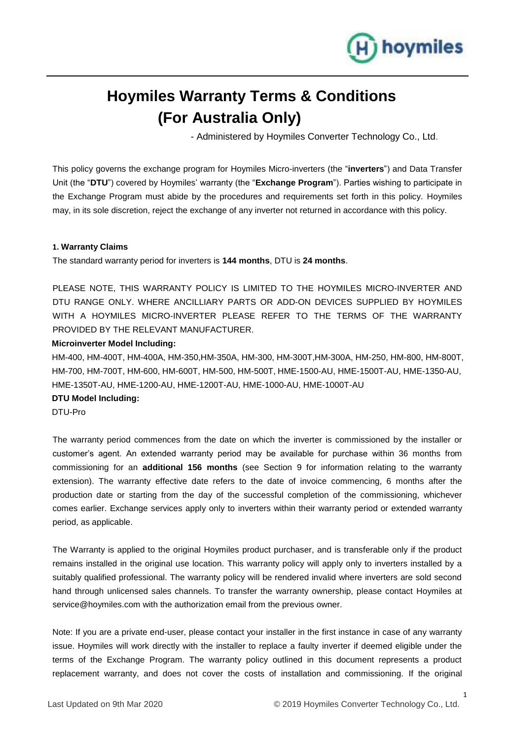

# **Hoymiles Warranty Terms & Conditions (For Australia Only)**

- Administered by Hoymiles Converter Technology Co., Ltd.

This policy governs the exchange program for Hoymiles Micro-inverters (the "**inverters**") and Data Transfer Unit (the "**DTU**") covered by Hoymiles' warranty (the "**Exchange Program**"). Parties wishing to participate in the Exchange Program must abide by the procedures and requirements set forth in this policy. Hoymiles may, in its sole discretion, reject the exchange of any inverter not returned in accordance with this policy.

## **1. Warranty Claims**

The standard warranty period for inverters is **144 months**, DTU is **24 months**.

PLEASE NOTE, THIS WARRANTY POLICY IS LIMITED TO THE HOYMILES MICRO-INVERTER AND DTU RANGE ONLY. WHERE ANCILLIARY PARTS OR ADD-ON DEVICES SUPPLIED BY HOYMILES WITH A HOYMILES MICRO-INVERTER PLEASE REFER TO THE TERMS OF THE WARRANTY PROVIDED BY THE RELEVANT MANUFACTURER.

# **Microinverter Model Including:**

HM-400, HM-400T, HM-400A, HM-350,HM-350A, HM-300, HM-300T,HM-300A, HM-250, HM-800, HM-800T, HM-700, HM-700T, HM-600, HM-600T, HM-500, HM-500T, HME-1500-AU, HME-1500T-AU, HME-1350-AU, HME-1350T-AU, HME-1200-AU, HME-1200T-AU, HME-1000-AU, HME-1000T-AU

## **DTU Model Including:**

DTU-Pro

The warranty period commences from the date on which the inverter is commissioned by the installer or customer's agent. An extended warranty period may be available for purchase within 36 months from commissioning for an **additional 156 months** (see Section 9 for information relating to the warranty extension). The warranty effective date refers to the date of invoice commencing, 6 months after the production date or starting from the day of the successful completion of the commissioning, whichever comes earlier. Exchange services apply only to inverters within their warranty period or extended warranty period, as applicable.

The Warranty is applied to the original Hoymiles product purchaser, and is transferable only if the product remains installed in the original use location. This warranty policy will apply only to inverters installed by a suitably qualified professional. The warranty policy will be rendered invalid where inverters are sold second hand through unlicensed sales channels. To transfer the warranty ownership, please contact Hoymiles at service@hoymiles.com with the authorization email from the previous owner.

Note: If you are a private end-user, please contact your installer in the first instance in case of any warranty issue. Hoymiles will work directly with the installer to replace a faulty inverter if deemed eligible under the terms of the Exchange Program. The warranty policy outlined in this document represents a product replacement warranty, and does not cover the costs of installation and commissioning. If the original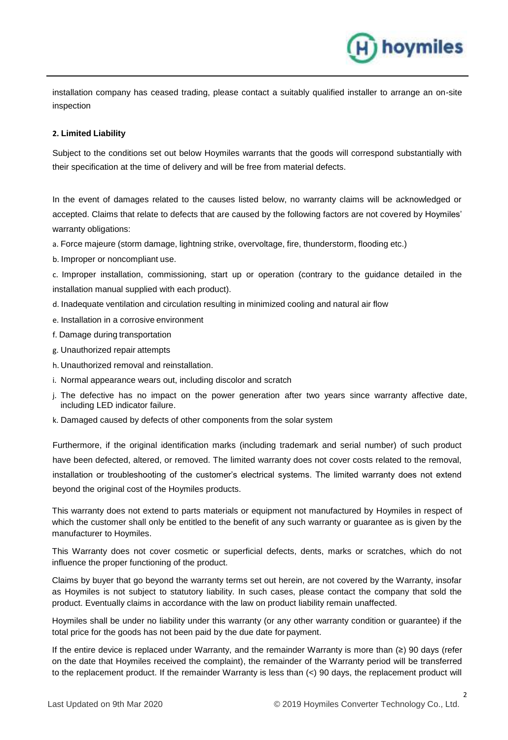installation company has ceased trading, please contact a suitably qualified installer to arrange an on-site inspection

H) hoymiles

## **2. Limited Liability**

Subject to the conditions set out below Hoymiles warrants that the goods will correspond substantially with their specification at the time of delivery and will be free from material defects.

In the event of damages related to the causes listed below, no warranty claims will be acknowledged or accepted. Claims that relate to defects that are caused by the following factors are not covered by Hoymiles' warranty obligations:

- a. Force majeure (storm damage, lightning strike, overvoltage, fire, thunderstorm, flooding etc.)
- b. Improper or noncompliant use.

c. Improper installation, commissioning, start up or operation (contrary to the guidance detailed in the installation manual supplied with each product).

- d. Inadequate ventilation and circulation resulting in minimized cooling and natural air flow
- e. Installation in a corrosive environment
- f. Damage during transportation
- g. Unauthorized repair attempts
- h. Unauthorized removal and reinstallation.
- i. Normal appearance wears out, including discolor and scratch
- j. The defective has no impact on the power generation after two years since warranty affective date, including LED indicator failure.
- k. Damaged caused by defects of other components from the solar system

Furthermore, if the original identification marks (including trademark and serial number) of such product have been defected, altered, or removed. The limited warranty does not cover costs related to the removal, installation or troubleshooting of the customer's electrical systems. The limited warranty does not extend beyond the original cost of the Hoymiles products.

This warranty does not extend to parts materials or equipment not manufactured by Hoymiles in respect of which the customer shall only be entitled to the benefit of any such warranty or guarantee as is given by the manufacturer to Hoymiles.

This Warranty does not cover cosmetic or superficial defects, dents, marks or scratches, which do not influence the proper functioning of the product.

Claims by buyer that go beyond the warranty terms set out herein, are not covered by the Warranty, insofar as Hoymiles is not subject to statutory liability. In such cases, please contact the company that sold the product. Eventually claims in accordance with the law on product liability remain unaffected.

Hoymiles shall be under no liability under this warranty (or any other warranty condition or guarantee) if the total price for the goods has not been paid by the due date for payment.

If the entire device is replaced under Warranty, and the remainder Warranty is more than (≥) 90 days (refer on the date that Hoymiles received the complaint), the remainder of the Warranty period will be transferred to the replacement product. If the remainder Warranty is less than (<) 90 days, the replacement product will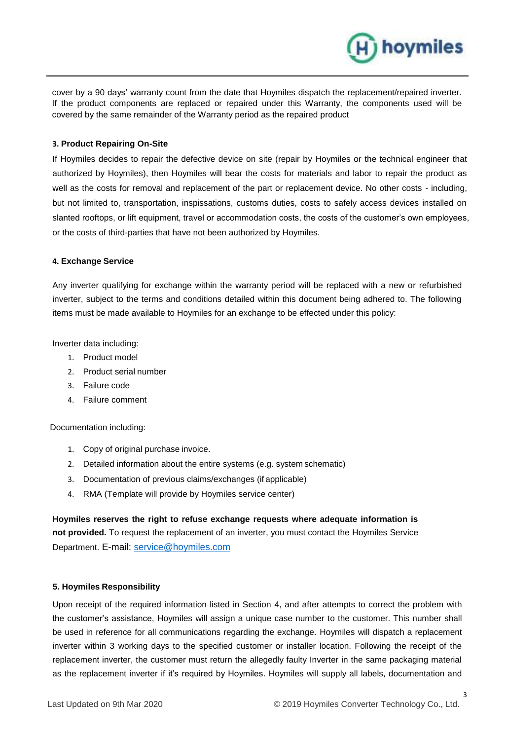

) hoymiles

#### **3. Product Repairing On-Site**

If Hoymiles decides to repair the defective device on site (repair by Hoymiles or the technical engineer that authorized by Hoymiles), then Hoymiles will bear the costs for materials and labor to repair the product as well as the costs for removal and replacement of the part or replacement device. No other costs - including, but not limited to, transportation, inspissations, customs duties, costs to safely access devices installed on slanted rooftops, or lift equipment, travel or accommodation costs, the costs of the customer's own employees, or the costs of third-parties that have not been authorized by Hoymiles.

#### **4. Exchange Service**

Any inverter qualifying for exchange within the warranty period will be replaced with a new or refurbished inverter, subject to the terms and conditions detailed within this document being adhered to. The following items must be made available to Hoymiles for an exchange to be effected under this policy:

Inverter data including:

- 1. Product model
- 2. Product serial number
- 3. Failure code
- 4. Failure comment

Documentation including:

- 1. Copy of original purchase invoice.
- 2. Detailed information about the entire systems (e.g. system schematic)
- 3. Documentation of previous claims/exchanges (if applicable)
- 4. RMA (Template will provide by Hoymiles service center)

**Hoymiles reserves the right to refuse exchange requests where adequate information is not provided.** To request the replacement of an inverter, you must contact the Hoymiles Service Department. E-mail: [service@hoymiles.com](mailto:service@hoymiles.com)

# **5. Hoymiles Responsibility**

Upon receipt of the required information listed in Section 4, and after attempts to correct the problem with the customer's assistance, Hoymiles will assign a unique case number to the customer. This number shall be used in reference for all communications regarding the exchange. Hoymiles will dispatch a replacement inverter within 3 working days to the specified customer or installer location. Following the receipt of the replacement inverter, the customer must return the allegedly faulty Inverter in the same packaging material as the replacement inverter if it's required by Hoymiles. Hoymiles will supply all labels, documentation and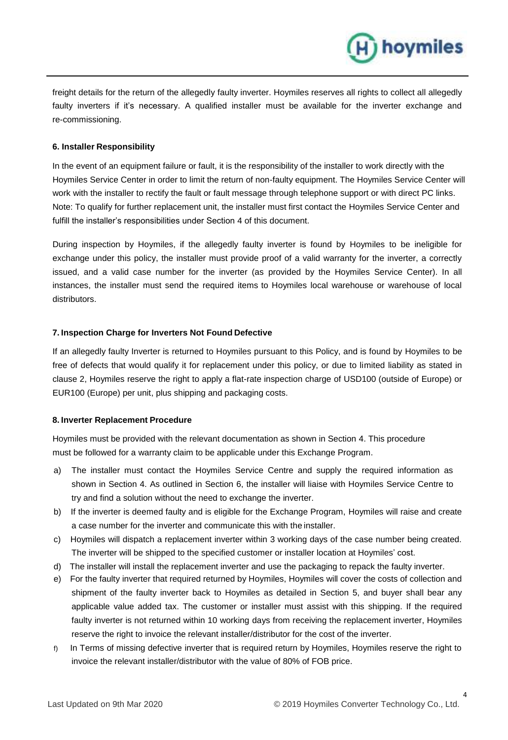freight details for the return of the allegedly faulty inverter. Hoymiles reserves all rights to collect all allegedly faulty inverters if it's necessary. A qualified installer must be available for the inverter exchange and re-commissioning.

H) hoymiles

# **6. Installer Responsibility**

In the event of an equipment failure or fault, it is the responsibility of the installer to work directly with the Hoymiles Service Center in order to limit the return of non-faulty equipment. The Hoymiles Service Center will work with the installer to rectify the fault or fault message through telephone support or with direct PC links. Note: To qualify for further replacement unit, the installer must first contact the Hoymiles Service Center and fulfill the installer's responsibilities under Section 4 of this document.

During inspection by Hoymiles, if the allegedly faulty inverter is found by Hoymiles to be ineligible for exchange under this policy, the installer must provide proof of a valid warranty for the inverter, a correctly issued, and a valid case number for the inverter (as provided by the Hoymiles Service Center). In all instances, the installer must send the required items to Hoymiles local warehouse or warehouse of local distributors.

## **7. Inspection Charge for Inverters Not Found Defective**

If an allegedly faulty Inverter is returned to Hoymiles pursuant to this Policy, and is found by Hoymiles to be free of defects that would qualify it for replacement under this policy, or due to limited liability as stated in clause 2, Hoymiles reserve the right to apply a flat-rate inspection charge of USD100 (outside of Europe) or EUR100 (Europe) per unit, plus shipping and packaging costs.

#### **8. Inverter Replacement Procedure**

Hoymiles must be provided with the relevant documentation as shown in Section 4. This procedure must be followed for a warranty claim to be applicable under this Exchange Program.

- a) The installer must contact the Hoymiles Service Centre and supply the required information as shown in Section 4. As outlined in Section 6, the installer will liaise with Hoymiles Service Centre to try and find a solution without the need to exchange the inverter.
- b) If the inverter is deemed faulty and is eligible for the Exchange Program, Hoymiles will raise and create a case number for the inverter and communicate this with the installer.
- c) Hoymiles will dispatch a replacement inverter within 3 working days of the case number being created. The inverter will be shipped to the specified customer or installer location at Hoymiles' cost.
- d) The installer will install the replacement inverter and use the packaging to repack the faulty inverter.
- e) For the faulty inverter that required returned by Hoymiles, Hoymiles will cover the costs of collection and shipment of the faulty inverter back to Hoymiles as detailed in Section 5, and buyer shall bear any applicable value added tax. The customer or installer must assist with this shipping. If the required faulty inverter is not returned within 10 working days from receiving the replacement inverter, Hoymiles reserve the right to invoice the relevant installer/distributor for the cost of the inverter.
- f) In Terms of missing defective inverter that is required return by Hoymiles, Hoymiles reserve the right to invoice the relevant installer/distributor with the value of 80% of FOB price.